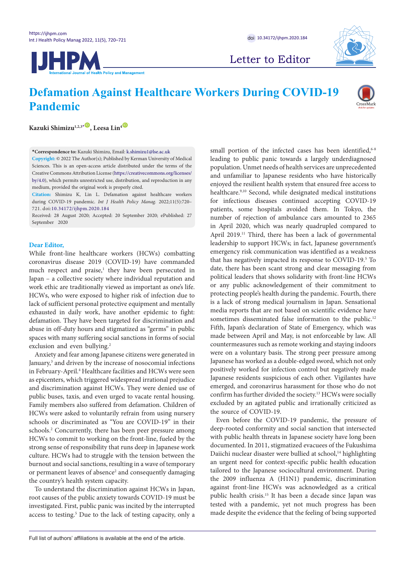



Letter to Editor

# **Defamation Against Healthcare Workers During COVID-19 Pandemic**



 $Kazuki Shimizu<sup>1,2,3*</sup> , Leesa Lin<sup>4</sup>$  $Kazuki Shimizu<sup>1,2,3*</sup> , Leesa Lin<sup>4</sup>$  $Kazuki Shimizu<sup>1,2,3*</sup> , Leesa Lin<sup>4</sup>$ 

<span id="page-0-0"></span>**\*Correspondence to:** Kazuki Shimizu, Email: k.shimizu1@lse.ac.uk

**Copyright:** © 2022 The Author(s); Published by Kerman University of Medical Sciences. This is an open-access article distributed under the terms of the Creative Commons Attribution License ([https://creativecommons.org/licenses/](https://creativecommons.org/licenses/by/4.0) [by/4.0\)](https://creativecommons.org/licenses/by/4.0), which permits unrestricted use, distribution, and reproduction in any medium, provided the original work is properly cited.

**Citation:** Shimizu K, Lin L. Defamation against healthcare workers during COVID-19 pandemic. *Int J Health Policy Manag.* 2022;11(5):720– 721. doi:[10.34172/ijhpm.2020.184](https://doi.org/10.34172/ijhpm.2020.184)

Received: 28 August 2020; Accepted: 20 September 2020; ePublished: 27 September 2020

## **Dear Editor,**

While front-line healthcare workers (HCWs) combatting coronavirus disease 2019 (COVID-19) have commanded much respect and praise,<sup>1</sup> they have been persecuted in Japan – a collective society where individual reputation and work ethic are traditionally viewed as important as one's life. HCWs, who were exposed to higher risk of infection due to lack of sufficient personal protective equipment and mentally exhausted in daily work, have another epidemic to fight: defamation. They have been targeted for discrimination and abuse in off-duty hours and stigmatized as "germs" in public spaces with many suffering social sanctions in forms of social exclusion and even bullying.<sup>2</sup>

Anxiety and fear among Japanese citizens were generated in January,<sup>3</sup> and driven by the increase of nosocomial infections in February-April.4 Healthcare facilities and HCWs were seen as epicenters, which triggered widespread irrational prejudice and discrimination against HCWs. They were denied use of public buses, taxis, and even urged to vacate rental housing. Family members also suffered from defamation. Children of HCWs were asked to voluntarily refrain from using nursery schools or discriminated as "You are COVID-19" in their schools.<sup>2</sup> Concurrently, there has been peer pressure among HCWs to commit to working on the front-line, fueled by the strong sense of responsibility that runs deep in Japanese work culture. HCWs had to struggle with the tension between the burnout and social sanctions, resulting in a wave of temporary or permanent leaves of absence<sup>2</sup> and consequently damaging the country's health system capacity.

To understand the discrimination against HCWs in Japan, root causes of the public anxiety towards COVID-19 must be investigated. First, public panic was incited by the interrupted access to testing.<sup>5</sup> Due to the lack of testing capacity, only a

small portion of the infected cases has been identified, $6-8$ leading to public panic towards a largely underdiagnosed population. Unmet needs of health services are unprecedented and unfamiliar to Japanese residents who have historically enjoyed the resilient health system that ensured free access to healthcare.<sup>9,10</sup> Second, while designated medical institutions for infectious diseases continued accepting COVID-19 patients, some hospitals avoided them. In Tokyo, the number of rejection of ambulance cars amounted to 2365 in April 2020, which was nearly quadrupled compared to April 2019.<sup>11</sup> Third, there has been a lack of governmental leadership to support HCWs; in fact, Japanese government's emergency risk communication was identified as a weakness that has negatively impacted its response to COVID-19.<sup>5</sup> To date, there has been scant strong and clear messaging from political leaders that shows solidarity with front-line HCWs or any public acknowledgement of their commitment to protecting people's health during the pandemic. Fourth, there is a lack of strong medical journalism in Japan. Sensational media reports that are not based on scientific evidence have sometimes disseminated false information to the public.<sup>12</sup> Fifth, Japan's declaration of State of Emergency, which was made between April and May, is not enforceable by law. All countermeasures such as remote working and staying indoors were on a voluntary basis. The strong peer pressure among Japanese has worked as a double-edged sword, which not only positively worked for infection control but negatively made Japanese residents suspicious of each other. Vigilantes have emerged, and coronavirus harassment for those who do not confirm has further divided the society.13 HCWs were socially excluded by an agitated public and irrationally criticized as the source of COVID-19.

Even before the COVID-19 pandemic, the pressure of deep-rooted conformity and social sanction that intersected with public health threats in Japanese society have long been documented. In 2011, stigmatized evacuees of the Fukushima Daiichi nuclear disaster were bullied at school,<sup>14</sup> highlighting an urgent need for context-specific public health education tailored to the Japanese sociocultural environment. During the 2009 influenza A (H1N1) pandemic, discrimination against front-line HCWs was acknowledged as a critical public health crisis.15 It has been a decade since Japan was tested with a pandemic, yet not much progress has been made despite the evidence that the feeling of being supported

Full list of authors' affiliations is available at the end of the article.